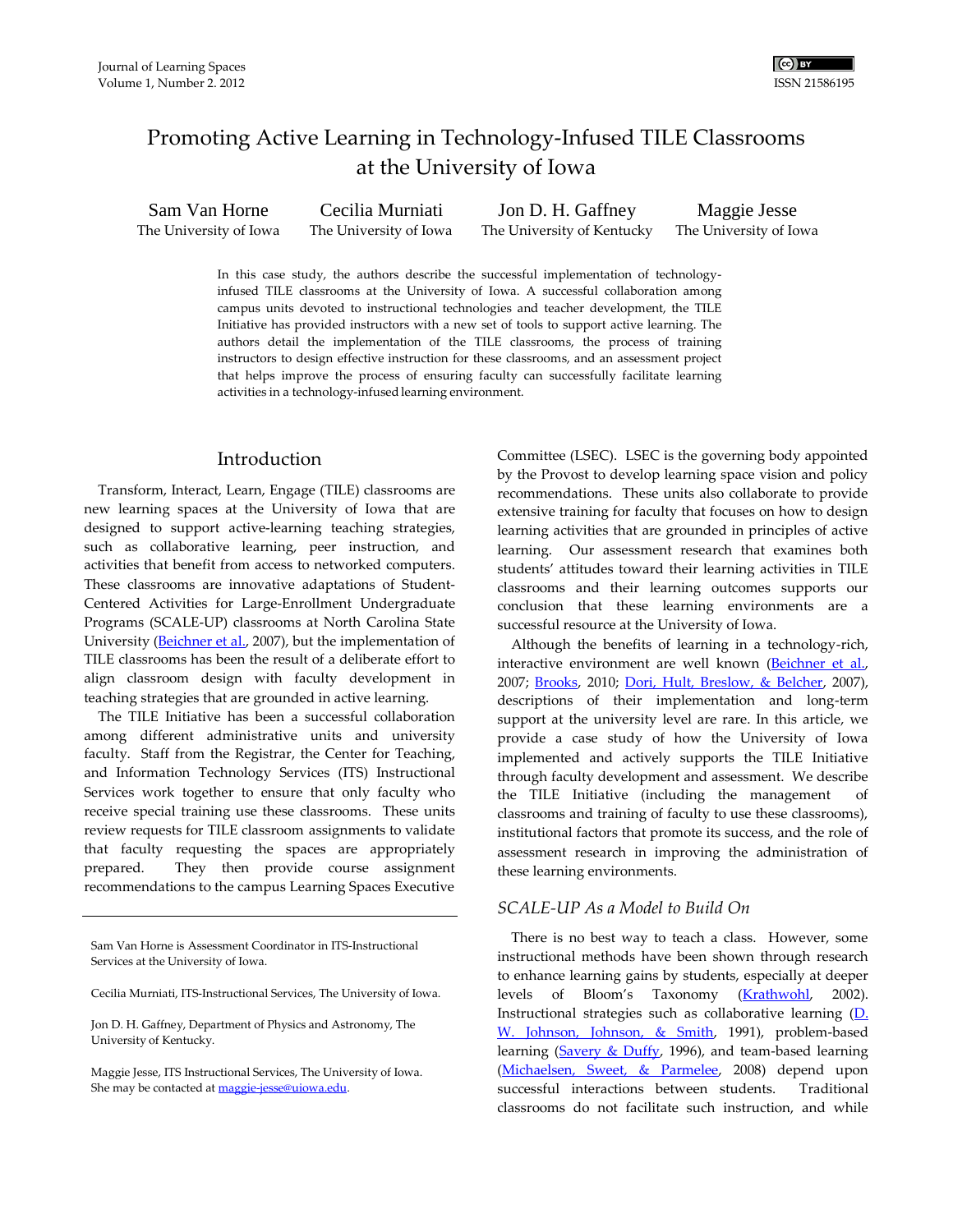# Promoting Active Learning in Technology-Infused TILE Classrooms at the University of Iowa

Sam Van Horne The University of Iowa Cecilia Murniati The University of Iowa Jon D. H. Gaffney The University of Kentucky Maggie Jesse The University of Iowa

> In this case study, the authors describe the successful implementation of technologyinfused TILE classrooms at the University of Iowa. A successful collaboration among campus units devoted to instructional technologies and teacher development, the TILE Initiative has provided instructors with a new set of tools to support active learning. The authors detail the implementation of the TILE classrooms, the process of training instructors to design effective instruction for these classrooms, and an assessment project that helps improve the process of ensuring faculty can successfully facilitate learning activities in a technology-infusedlearning environment.

#### Introduction

Transform, Interact, Learn, Engage (TILE) classrooms are new learning spaces at the University of Iowa that are designed to support active-learning teaching strategies, such as collaborative learning, peer instruction, and activities that benefit from access to networked computers. These classrooms are innovative adaptations of Student-Centered Activities for Large-Enrollment Undergraduate Programs (SCALE-UP) classrooms at North Carolina State University [\(Beichner](#page-6-0) et al., 2007), but the implementation of TILE classrooms has been the result of a deliberate effort to align classroom design with faculty development in teaching strategies that are grounded in active learning.

The TILE Initiative has been a successful collaboration among different administrative units and university faculty. Staff from the Registrar, the Center for Teaching, and Information Technology Services (ITS) Instructional Services work together to ensure that only faculty who receive special training use these classrooms. These units review requests for TILE classroom assignments to validate that faculty requesting the spaces are appropriately prepared. They then provide course assignment recommendations to the campus Learning Spaces Executive

Sam Van Horne is Assessment Coordinator in ITS-Instructional Services at the University of Iowa.

Cecilia Murniati, ITS-Instructional Services, The University of Iowa.

Jon D. H. Gaffney, Department of Physics and Astronomy, The University of Kentucky.

Maggie Jesse, ITS Instructional Services, The University of Iowa. She may be contacted at maggie-jesse@uiowa.edu.

Committee (LSEC). LSEC is the governing body appointed by the Provost to develop learning space vision and policy recommendations. These units also collaborate to provide extensive training for faculty that focuses on how to design learning activities that are grounded in principles of active learning. Our assessment research that examines both students' attitudes toward their learning activities in TILE classrooms and their learning outcomes supports our conclusion that these learning environments are a successful resource at the University of Iowa.

Although the benefits of learning in a technology-rich, interactive environment are well known [\(Beichner et al.,](#page-6-0) 2007; [Brooks,](#page-6-1) 2010; [Dori, Hult, Breslow, & Belcher,](#page-6-2) 2007), descriptions of their implementation and long-term support at the university level are rare. In this article, we provide a case study of how the University of Iowa implemented and actively supports the TILE Initiative through faculty development and assessment. We describe the TILE Initiative (including the management of classrooms and training of faculty to use these classrooms), institutional factors that promote its success, and the role of assessment research in improving the administration of these learning environments.

#### *SCALE-UP As a Model to Build On*

There is no best way to teach a class. However, some instructional methods have been shown through research to enhance learning gains by students, especially at deeper levels of Bloom's Taxonomy ([Krathwohl,](#page-6-3) 2002). Instructional strategies such as collaborative learning  $(D)$ . [W. Johnson, Johnson, & Smith,](#page-6-4) 1991), problem-based learning [\(Savery & Duffy,](#page-6-5) 1996), and team-based learning [\(Michaelsen, Sweet, & Parmelee,](#page-6-6) 2008) depend upon successful interactions between students. Traditional classrooms do not facilitate such instruction, and while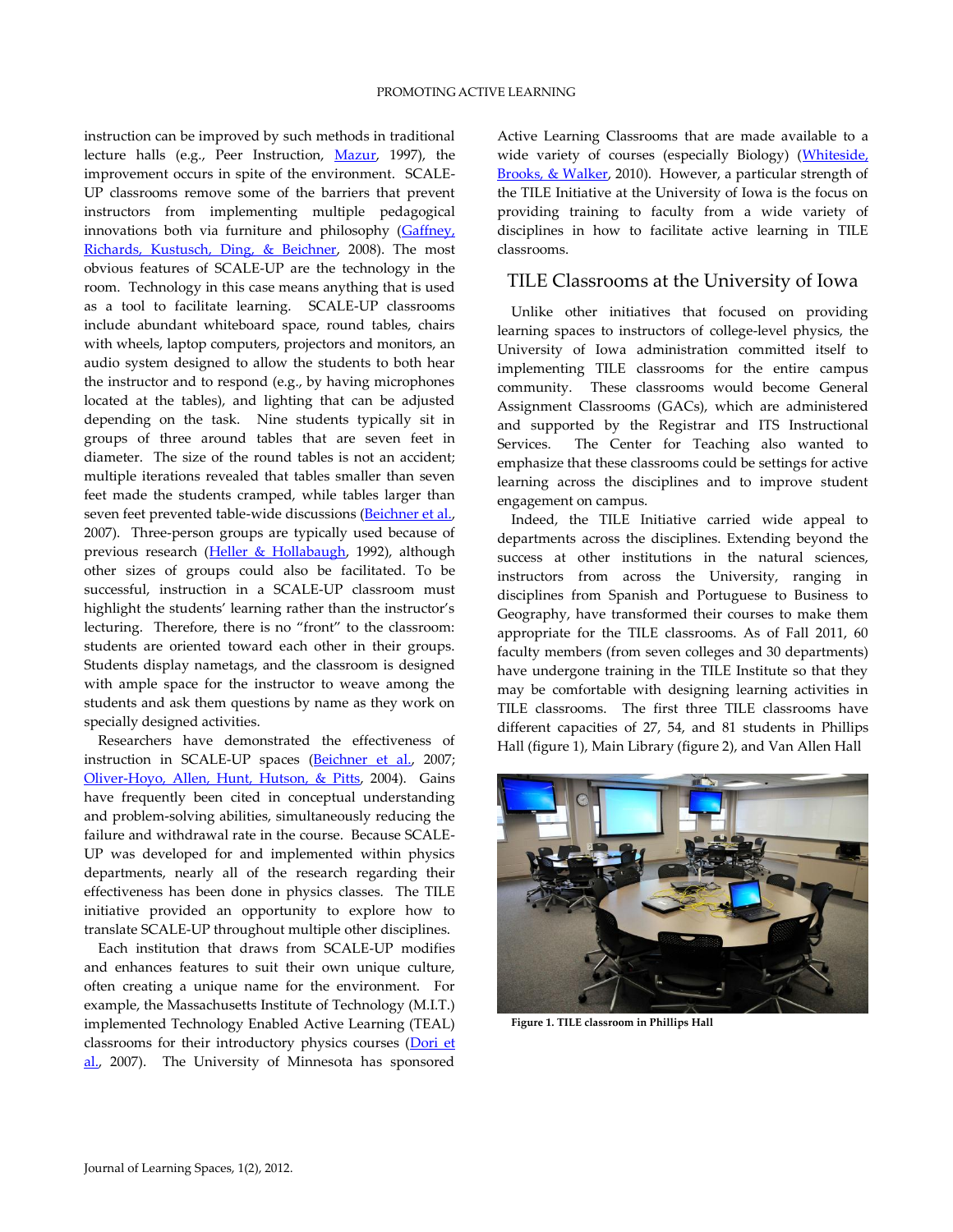instruction can be improved by such methods in traditional lecture halls (e.g., Peer Instruction, Mazur, 1997), the improvement occurs in spite of the environment. SCALE-UP classrooms remove some of the barriers that prevent instructors from implementing multiple pedagogical innovations both via furniture and philosophy (Gaffney, [Richards, Kustusch, Ding, & Beichner,](#page-6-7) 2008). The most obvious features of SCALE-UP are the technology in the room. Technology in this case means anything that is used as a tool to facilitate learning. SCALE-UP classrooms include abundant whiteboard space, round tables, chairs with wheels, laptop computers, projectors and monitors, an audio system designed to allow the students to both hear the instructor and to respond (e.g., by having microphones located at the tables), and lighting that can be adjusted depending on the task. Nine students typically sit in groups of three around tables that are seven feet in diameter. The size of the round tables is not an accident; multiple iterations revealed that tables smaller than seven feet made the students cramped, while tables larger than seven feet prevented table-wide discussions [\(Beichner et al.,](#page-6-0) 2007). Three-person groups are typically used because of previous research [\(Heller & Hollabaugh,](#page-6-8) 1992), although other sizes of groups could also be facilitated. To be successful, instruction in a SCALE-UP classroom must highlight the students' learning rather than the instructor's lecturing. Therefore, there is no "front" to the classroom: students are oriented toward each other in their groups. Students display nametags, and the classroom is designed with ample space for the instructor to weave among the students and ask them questions by name as they work on specially designed activities.

Researchers have demonstrated the effectiveness of instruction in SCALE-UP spaces [\(Beichner et al.,](#page-6-0) 2007; [Oliver-Hoyo, Allen, Hunt, Hutson, & Pitts,](#page-6-9) 2004). Gains have frequently been cited in conceptual understanding and problem-solving abilities, simultaneously reducing the failure and withdrawal rate in the course. Because SCALE-UP was developed for and implemented within physics departments, nearly all of the research regarding their effectiveness has been done in physics classes. The TILE initiative provided an opportunity to explore how to translate SCALE-UP throughout multiple other disciplines.

Each institution that draws from SCALE-UP modifies and enhances features to suit their own unique culture, often creating a unique name for the environment. For example, the Massachusetts Institute of Technology (M.I.T.) implemented Technology Enabled Active Learning (TEAL) classrooms for their introductory physics courses [\(Dori et](#page-6-2)  [al.,](#page-6-2) 2007). The University of Minnesota has sponsored

Active Learning Classrooms that are made available to a wide variety of courses (especially Biology) (Whiteside, [Brooks, & Walker,](#page-6-10) 2010). However, a particular strength of the TILE Initiative at the University of Iowa is the focus on providing training to faculty from a wide variety of disciplines in how to facilitate active learning in TILE classrooms.

### TILE Classrooms at the University of Iowa

Unlike other initiatives that focused on providing learning spaces to instructors of college-level physics, the University of Iowa administration committed itself to implementing TILE classrooms for the entire campus community. These classrooms would become General Assignment Classrooms (GACs), which are administered and supported by the Registrar and ITS Instructional Services. The Center for Teaching also wanted to emphasize that these classrooms could be settings for active learning across the disciplines and to improve student engagement on campus.

Indeed, the TILE Initiative carried wide appeal to departments across the disciplines. Extending beyond the success at other institutions in the natural sciences, instructors from across the University, ranging in disciplines from Spanish and Portuguese to Business to Geography, have transformed their courses to make them appropriate for the TILE classrooms. As of Fall 2011, 60 faculty members (from seven colleges and 30 departments) have undergone training in the TILE Institute so that they may be comfortable with designing learning activities in TILE classrooms. The first three TILE classrooms have different capacities of 27, 54, and 81 students in Phillips Hall (figure 1), Main Library (figure 2), and Van Allen Hall



**Figure 1. TILE classroom in Phillips Hall**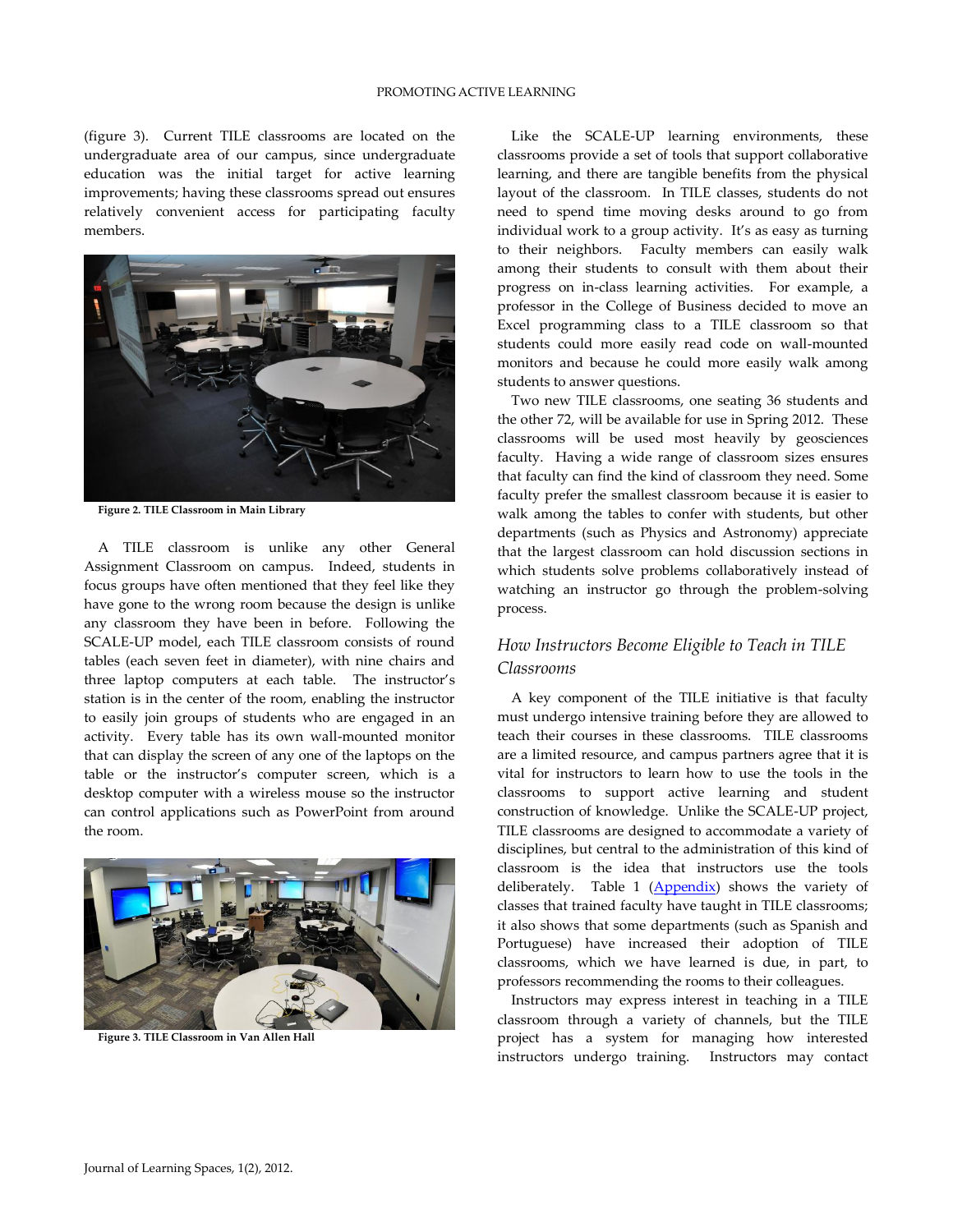(figure 3). Current TILE classrooms are located on the undergraduate area of our campus, since undergraduate education was the initial target for active learning improvements; having these classrooms spread out ensures relatively convenient access for participating faculty members.



**Figure 2. TILE Classroom in Main Library**

A TILE classroom is unlike any other General Assignment Classroom on campus. Indeed, students in focus groups have often mentioned that they feel like they have gone to the wrong room because the design is unlike any classroom they have been in before. Following the SCALE-UP model, each TILE classroom consists of round tables (each seven feet in diameter), with nine chairs and three laptop computers at each table. The instructor's station is in the center of the room, enabling the instructor to easily join groups of students who are engaged in an activity. Every table has its own wall-mounted monitor that can display the screen of any one of the laptops on the table or the instructor's computer screen, which is a desktop computer with a wireless mouse so the instructor can control applications such as PowerPoint from around the room.



**Figure 3. TILE Classroom in Van Allen Hall**

Like the SCALE-UP learning environments, these classrooms provide a set of tools that support collaborative learning, and there are tangible benefits from the physical layout of the classroom. In TILE classes, students do not need to spend time moving desks around to go from individual work to a group activity. It's as easy as turning to their neighbors. Faculty members can easily walk among their students to consult with them about their progress on in-class learning activities. For example, a professor in the College of Business decided to move an Excel programming class to a TILE classroom so that students could more easily read code on wall-mounted monitors and because he could more easily walk among students to answer questions.

Two new TILE classrooms, one seating 36 students and the other 72, will be available for use in Spring 2012. These classrooms will be used most heavily by geosciences faculty. Having a wide range of classroom sizes ensures that faculty can find the kind of classroom they need. Some faculty prefer the smallest classroom because it is easier to walk among the tables to confer with students, but other departments (such as Physics and Astronomy) appreciate that the largest classroom can hold discussion sections in which students solve problems collaboratively instead of watching an instructor go through the problem-solving process.

### *How Instructors Become Eligible to Teach in TILE Classrooms*

A key component of the TILE initiative is that faculty must undergo intensive training before they are allowed to teach their courses in these classrooms. TILE classrooms are a limited resource, and campus partners agree that it is vital for instructors to learn how to use the tools in the classrooms to support active learning and student construction of knowledge. Unlike the SCALE-UP project, TILE classrooms are designed to accommodate a variety of disciplines, but central to the administration of this kind of classroom is the idea that instructors use the tools deliberately. Table 1 [\(Appendix\)](#page-7-0) shows the variety of classes that trained faculty have taught in TILE classrooms; it also shows that some departments (such as Spanish and Portuguese) have increased their adoption of TILE classrooms, which we have learned is due, in part, to professors recommending the rooms to their colleagues.

Instructors may express interest in teaching in a TILE classroom through a variety of channels, but the TILE project has a system for managing how interested instructors undergo training. Instructors may contact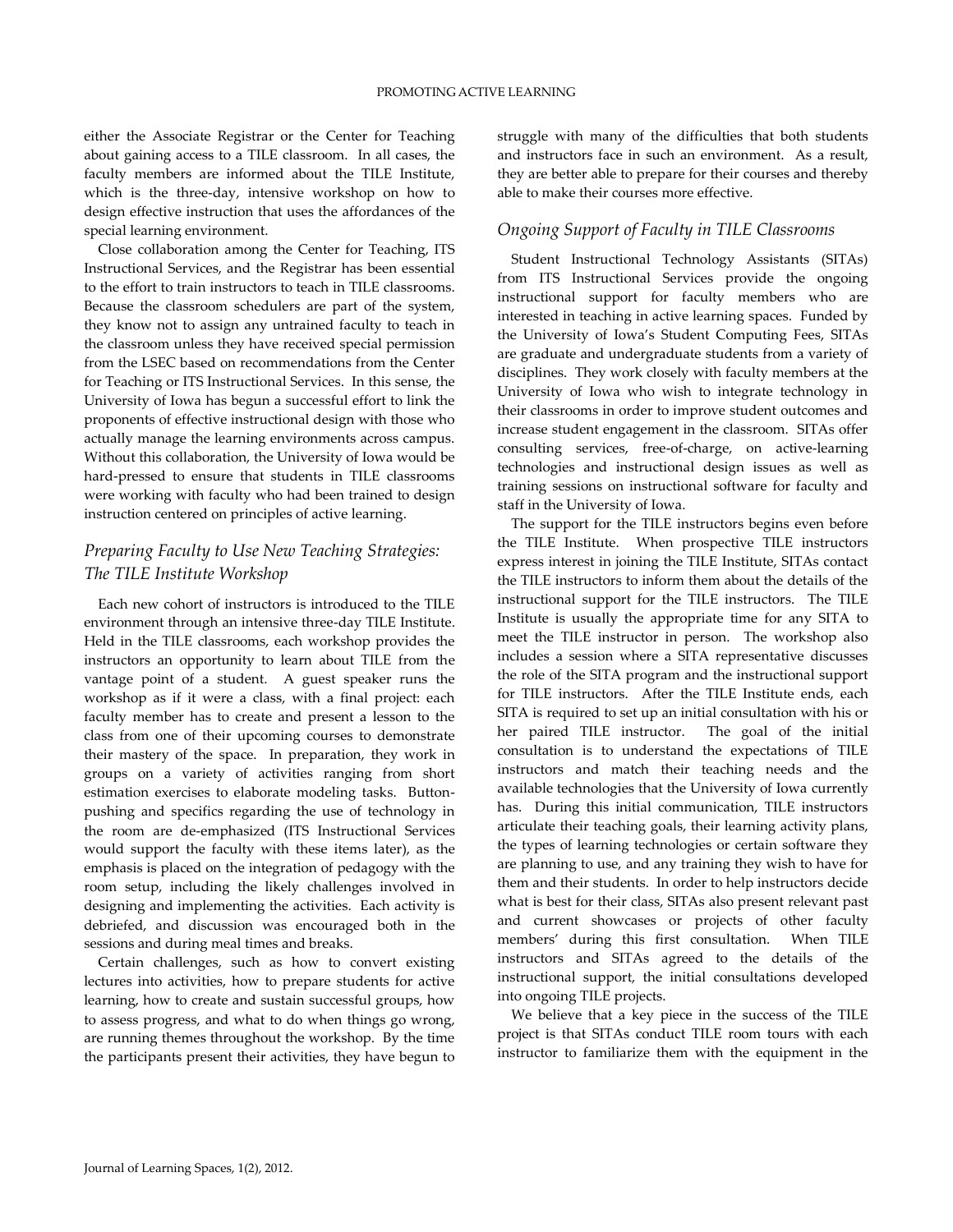either the Associate Registrar or the Center for Teaching about gaining access to a TILE classroom. In all cases, the faculty members are informed about the TILE Institute, which is the three-day, intensive workshop on how to design effective instruction that uses the affordances of the special learning environment.

Close collaboration among the Center for Teaching, ITS Instructional Services, and the Registrar has been essential to the effort to train instructors to teach in TILE classrooms. Because the classroom schedulers are part of the system, they know not to assign any untrained faculty to teach in the classroom unless they have received special permission from the LSEC based on recommendations from the Center for Teaching or ITS Instructional Services. In this sense, the University of Iowa has begun a successful effort to link the proponents of effective instructional design with those who actually manage the learning environments across campus. Without this collaboration, the University of Iowa would be hard-pressed to ensure that students in TILE classrooms were working with faculty who had been trained to design instruction centered on principles of active learning.

## *Preparing Faculty to Use New Teaching Strategies: The TILE Institute Workshop*

Each new cohort of instructors is introduced to the TILE environment through an intensive three-day TILE Institute. Held in the TILE classrooms, each workshop provides the instructors an opportunity to learn about TILE from the vantage point of a student. A guest speaker runs the workshop as if it were a class, with a final project: each faculty member has to create and present a lesson to the class from one of their upcoming courses to demonstrate their mastery of the space. In preparation, they work in groups on a variety of activities ranging from short estimation exercises to elaborate modeling tasks. Buttonpushing and specifics regarding the use of technology in the room are de-emphasized (ITS Instructional Services would support the faculty with these items later), as the emphasis is placed on the integration of pedagogy with the room setup, including the likely challenges involved in designing and implementing the activities. Each activity is debriefed, and discussion was encouraged both in the sessions and during meal times and breaks.

Certain challenges, such as how to convert existing lectures into activities, how to prepare students for active learning, how to create and sustain successful groups, how to assess progress, and what to do when things go wrong, are running themes throughout the workshop. By the time the participants present their activities, they have begun to

struggle with many of the difficulties that both students and instructors face in such an environment. As a result, they are better able to prepare for their courses and thereby able to make their courses more effective.

### *Ongoing Support of Faculty in TILE Classrooms*

Student Instructional Technology Assistants (SITAs) from ITS Instructional Services provide the ongoing instructional support for faculty members who are interested in teaching in active learning spaces. Funded by the University of Iowa's Student Computing Fees, SITAs are graduate and undergraduate students from a variety of disciplines. They work closely with faculty members at the University of Iowa who wish to integrate technology in their classrooms in order to improve student outcomes and increase student engagement in the classroom. SITAs offer consulting services, free-of-charge, on active-learning technologies and instructional design issues as well as training sessions on instructional software for faculty and staff in the University of Iowa.

The support for the TILE instructors begins even before the TILE Institute. When prospective TILE instructors express interest in joining the TILE Institute, SITAs contact the TILE instructors to inform them about the details of the instructional support for the TILE instructors. The TILE Institute is usually the appropriate time for any SITA to meet the TILE instructor in person. The workshop also includes a session where a SITA representative discusses the role of the SITA program and the instructional support for TILE instructors. After the TILE Institute ends, each SITA is required to set up an initial consultation with his or her paired TILE instructor. The goal of the initial consultation is to understand the expectations of TILE instructors and match their teaching needs and the available technologies that the University of Iowa currently has. During this initial communication, TILE instructors articulate their teaching goals, their learning activity plans, the types of learning technologies or certain software they are planning to use, and any training they wish to have for them and their students. In order to help instructors decide what is best for their class, SITAs also present relevant past and current showcases or projects of other faculty members' during this first consultation. When TILE instructors and SITAs agreed to the details of the instructional support, the initial consultations developed into ongoing TILE projects.

We believe that a key piece in the success of the TILE project is that SITAs conduct TILE room tours with each instructor to familiarize them with the equipment in the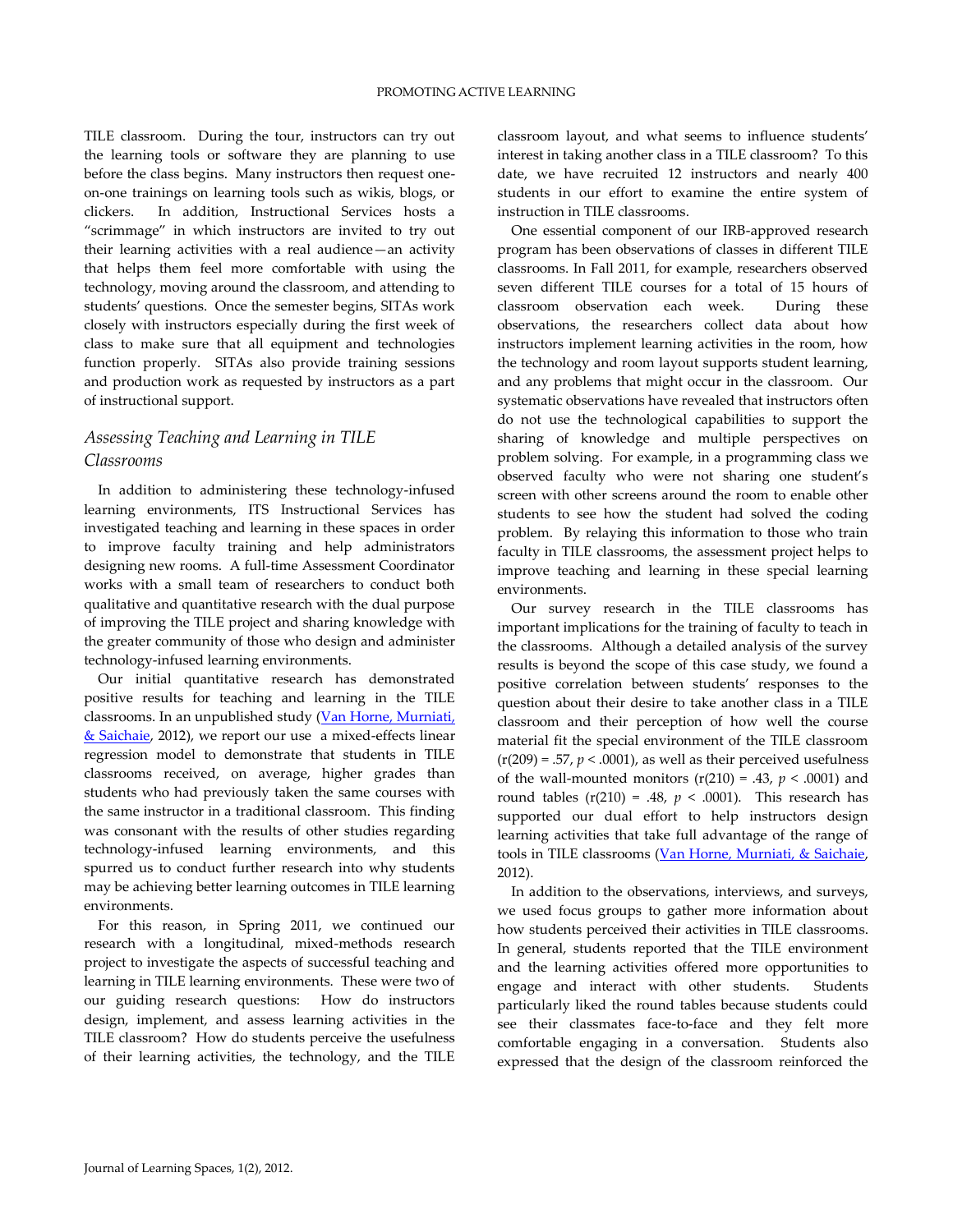TILE classroom. During the tour, instructors can try out the learning tools or software they are planning to use before the class begins. Many instructors then request oneon-one trainings on learning tools such as wikis, blogs, or clickers. In addition, Instructional Services hosts a "scrimmage" in which instructors are invited to try out their learning activities with a real audience—an activity that helps them feel more comfortable with using the technology, moving around the classroom, and attending to students' questions. Once the semester begins, SITAs work closely with instructors especially during the first week of class to make sure that all equipment and technologies function properly. SITAs also provide training sessions and production work as requested by instructors as a part of instructional support.

### *Assessing Teaching and Learning in TILE Classrooms*

In addition to administering these technology-infused learning environments, ITS Instructional Services has investigated teaching and learning in these spaces in order to improve faculty training and help administrators designing new rooms. A full-time Assessment Coordinator works with a small team of researchers to conduct both qualitative and quantitative research with the dual purpose of improving the TILE project and sharing knowledge with the greater community of those who design and administer technology-infused learning environments.

Our initial quantitative research has demonstrated positive results for teaching and learning in the TILE classrooms. In an unpublished study (Van Horne, Murniati, [& Saichaie,](#page-6-11) 2012), we report our use a mixed-effects linear regression model to demonstrate that students in TILE classrooms received, on average, higher grades than students who had previously taken the same courses with the same instructor in a traditional classroom. This finding was consonant with the results of other studies regarding technology-infused learning environments, and this spurred us to conduct further research into why students may be achieving better learning outcomes in TILE learning environments.

For this reason, in Spring 2011, we continued our research with a longitudinal, mixed-methods research project to investigate the aspects of successful teaching and learning in TILE learning environments. These were two of our guiding research questions: How do instructors design, implement, and assess learning activities in the TILE classroom? How do students perceive the usefulness of their learning activities, the technology, and the TILE

classroom layout, and what seems to influence students' interest in taking another class in a TILE classroom? To this date, we have recruited 12 instructors and nearly 400 students in our effort to examine the entire system of instruction in TILE classrooms.

One essential component of our IRB-approved research program has been observations of classes in different TILE classrooms. In Fall 2011, for example, researchers observed seven different TILE courses for a total of 15 hours of classroom observation each week. During these observations, the researchers collect data about how instructors implement learning activities in the room, how the technology and room layout supports student learning, and any problems that might occur in the classroom. Our systematic observations have revealed that instructors often do not use the technological capabilities to support the sharing of knowledge and multiple perspectives on problem solving. For example, in a programming class we observed faculty who were not sharing one student's screen with other screens around the room to enable other students to see how the student had solved the coding problem. By relaying this information to those who train faculty in TILE classrooms, the assessment project helps to improve teaching and learning in these special learning environments.

Our survey research in the TILE classrooms has important implications for the training of faculty to teach in the classrooms. Although a detailed analysis of the survey results is beyond the scope of this case study, we found a positive correlation between students' responses to the question about their desire to take another class in a TILE classroom and their perception of how well the course material fit the special environment of the TILE classroom  $(r(209) = .57, p < .0001)$ , as well as their perceived usefulness of the wall-mounted monitors  $(r(210) = .43, p < .0001)$  and round tables  $(r(210) = .48, p < .0001)$ . This research has supported our dual effort to help instructors design learning activities that take full advantage of the range of tools in TILE classrooms [\(Van Horne, Murniati, & Saichaie,](#page-6-11) 2012).

In addition to the observations, interviews, and surveys, we used focus groups to gather more information about how students perceived their activities in TILE classrooms. In general, students reported that the TILE environment and the learning activities offered more opportunities to engage and interact with other students. Students particularly liked the round tables because students could see their classmates face-to-face and they felt more comfortable engaging in a conversation. Students also expressed that the design of the classroom reinforced the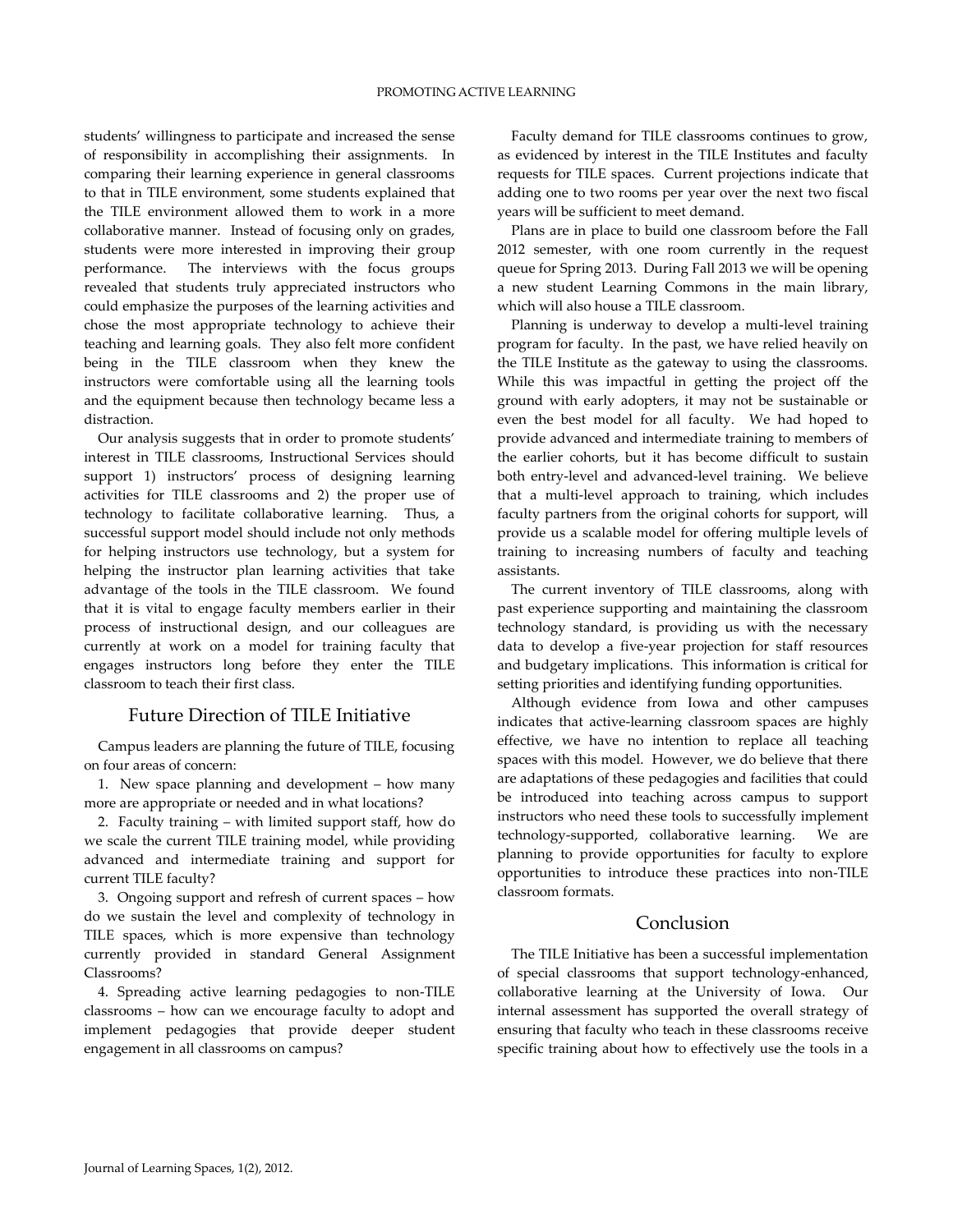students' willingness to participate and increased the sense of responsibility in accomplishing their assignments. In comparing their learning experience in general classrooms to that in TILE environment, some students explained that the TILE environment allowed them to work in a more collaborative manner. Instead of focusing only on grades, students were more interested in improving their group performance. The interviews with the focus groups revealed that students truly appreciated instructors who could emphasize the purposes of the learning activities and chose the most appropriate technology to achieve their teaching and learning goals. They also felt more confident being in the TILE classroom when they knew the instructors were comfortable using all the learning tools and the equipment because then technology became less a distraction.

Our analysis suggests that in order to promote students' interest in TILE classrooms, Instructional Services should support 1) instructors' process of designing learning activities for TILE classrooms and 2) the proper use of technology to facilitate collaborative learning. Thus, a successful support model should include not only methods for helping instructors use technology, but a system for helping the instructor plan learning activities that take advantage of the tools in the TILE classroom. We found that it is vital to engage faculty members earlier in their process of instructional design, and our colleagues are currently at work on a model for training faculty that engages instructors long before they enter the TILE classroom to teach their first class.

#### Future Direction of TILE Initiative

Campus leaders are planning the future of TILE, focusing on four areas of concern:

1. New space planning and development – how many more are appropriate or needed and in what locations?

2. Faculty training – with limited support staff, how do we scale the current TILE training model, while providing advanced and intermediate training and support for current TILE faculty?

3. Ongoing support and refresh of current spaces – how do we sustain the level and complexity of technology in TILE spaces, which is more expensive than technology currently provided in standard General Assignment Classrooms?

4. Spreading active learning pedagogies to non-TILE classrooms – how can we encourage faculty to adopt and implement pedagogies that provide deeper student engagement in all classrooms on campus?

Faculty demand for TILE classrooms continues to grow, as evidenced by interest in the TILE Institutes and faculty requests for TILE spaces. Current projections indicate that adding one to two rooms per year over the next two fiscal years will be sufficient to meet demand.

Plans are in place to build one classroom before the Fall 2012 semester, with one room currently in the request queue for Spring 2013. During Fall 2013 we will be opening a new student Learning Commons in the main library, which will also house a TILE classroom.

Planning is underway to develop a multi-level training program for faculty. In the past, we have relied heavily on the TILE Institute as the gateway to using the classrooms. While this was impactful in getting the project off the ground with early adopters, it may not be sustainable or even the best model for all faculty. We had hoped to provide advanced and intermediate training to members of the earlier cohorts, but it has become difficult to sustain both entry-level and advanced-level training. We believe that a multi-level approach to training, which includes faculty partners from the original cohorts for support, will provide us a scalable model for offering multiple levels of training to increasing numbers of faculty and teaching assistants.

The current inventory of TILE classrooms, along with past experience supporting and maintaining the classroom technology standard, is providing us with the necessary data to develop a five-year projection for staff resources and budgetary implications. This information is critical for setting priorities and identifying funding opportunities.

Although evidence from Iowa and other campuses indicates that active-learning classroom spaces are highly effective, we have no intention to replace all teaching spaces with this model. However, we do believe that there are adaptations of these pedagogies and facilities that could be introduced into teaching across campus to support instructors who need these tools to successfully implement technology-supported, collaborative learning. We are planning to provide opportunities for faculty to explore opportunities to introduce these practices into non-TILE classroom formats.

### Conclusion

The TILE Initiative has been a successful implementation of special classrooms that support technology-enhanced, collaborative learning at the University of Iowa. Our internal assessment has supported the overall strategy of ensuring that faculty who teach in these classrooms receive specific training about how to effectively use the tools in a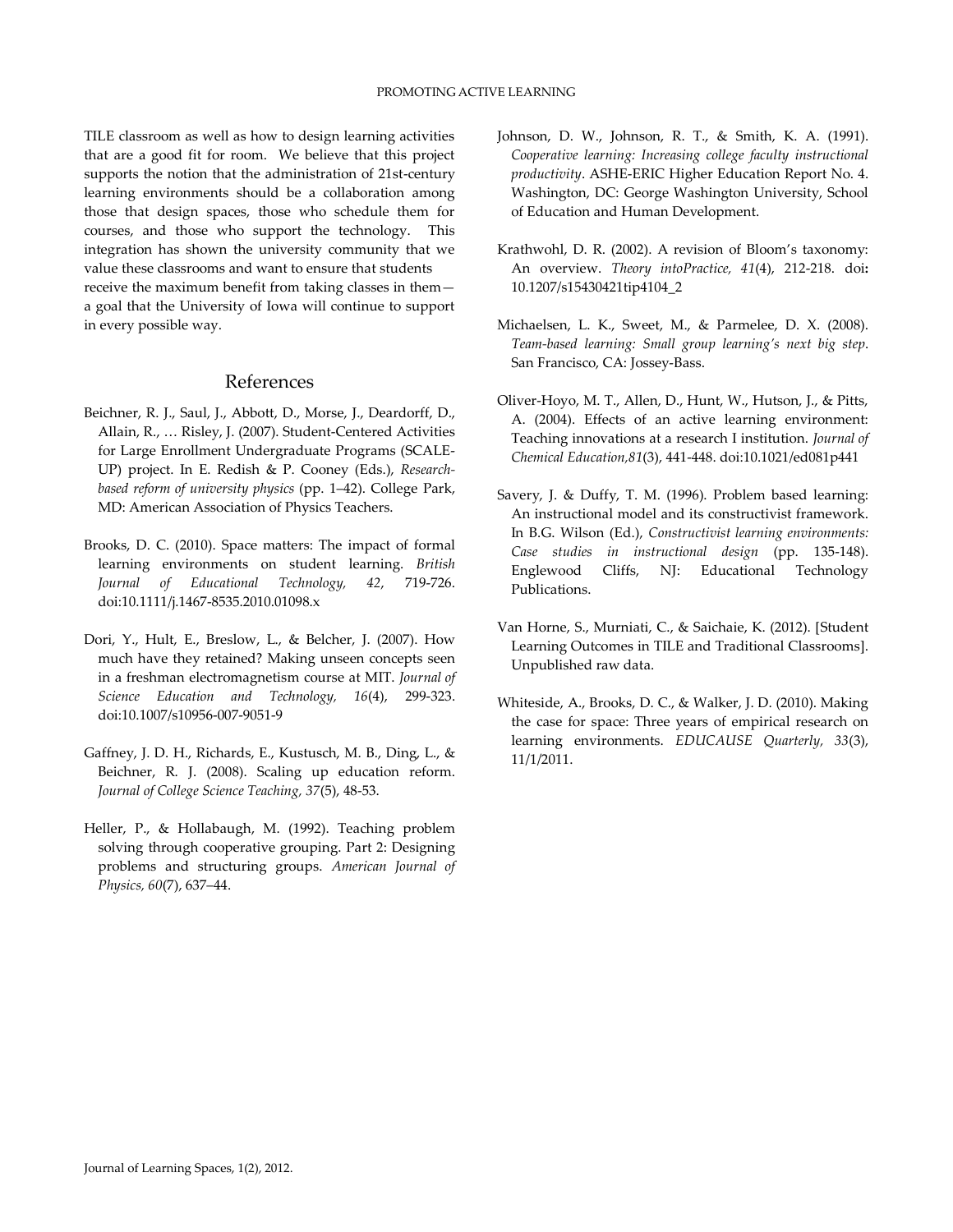TILE classroom as well as how to design learning activities that are a good fit for room. We believe that this project supports the notion that the administration of 21st-century learning environments should be a collaboration among those that design spaces, those who schedule them for courses, and those who support the technology. This integration has shown the university community that we value these classrooms and want to ensure that students receive the maximum benefit from taking classes in them a goal that the University of Iowa will continue to support in every possible way.

### References

- <span id="page-6-0"></span>Beichner, R. J., Saul, J., Abbott, D., Morse, J., Deardorff, D., Allain, R., … Risley, J. (2007). Student-Centered Activities for Large Enrollment Undergraduate Programs (SCALE-UP) project. In E. Redish & P. Cooney (Eds.), *Researchbased reform of university physics* (pp. 1–42). College Park, MD: American Association of Physics Teachers.
- <span id="page-6-1"></span>Brooks, D. C. (2010). Space matters: The impact of formal learning environments on student learning. *British Journal of Educational Technology, 42*, 719-726. doi:10.1111/j.1467-8535.2010.01098.x
- <span id="page-6-2"></span>Dori, Y., Hult, E., Breslow, L., & Belcher, J. (2007). How much have they retained? Making unseen concepts seen in a freshman electromagnetism course at MIT. *Journal of Science Education and Technology, 16*(4), 299-323. doi:10.1007/s10956-007-9051-9
- <span id="page-6-7"></span>Gaffney, J. D. H., Richards, E., Kustusch, M. B., Ding, L., & Beichner, R. J. (2008). Scaling up education reform. *Journal of College Science Teaching, 37*(5), 48-53.
- <span id="page-6-8"></span><span id="page-6-4"></span>Heller, P., & Hollabaugh, M. (1992). Teaching problem solving through cooperative grouping. Part 2: Designing problems and structuring groups. *American Journal of Physics, 60*(7), 637–44.
- Johnson, D. W., Johnson, R. T., & Smith, K. A. (1991). *Cooperative learning: Increasing college faculty instructional productivity*. ASHE-ERIC Higher Education Report No. 4. Washington, DC: George Washington University, School of Education and Human Development.
- <span id="page-6-3"></span>Krathwohl, D. R. (2002). A revision of Bloom's taxonomy: An overview. *Theory intoPractice, 41*(4), 212-218. doi**:** 10.1207/s15430421tip4104\_2
- <span id="page-6-6"></span>Michaelsen, L. K., Sweet, M., & Parmelee, D. X. (2008). *Team-based learning: Small group learning's next big step*. San Francisco, CA: Jossey-Bass.
- <span id="page-6-9"></span>Oliver-Hoyo, M. T., Allen, D., Hunt, W., Hutson, J., & Pitts, A. (2004). Effects of an active learning environment: Teaching innovations at a research I institution. *Journal of Chemical Education,81*(3), 441-448. doi:10.1021/ed081p441
- <span id="page-6-5"></span>Savery, J. & Duffy, T. M. (1996). Problem based learning: An instructional model and its constructivist framework. In B.G. Wilson (Ed.), *Constructivist learning environments: Case studies in instructional design* (pp. 135-148). Englewood Cliffs, NJ: Educational Technology Publications.
- <span id="page-6-11"></span>Van Horne, S., Murniati, C., & Saichaie, K. (2012). [Student Learning Outcomes in TILE and Traditional Classrooms]. Unpublished raw data.
- <span id="page-6-10"></span>Whiteside, A., Brooks, D. C., & Walker, J. D. (2010). Making the case for space: Three years of empirical research on learning environments. *EDUCAUSE Quarterly, 33*(3), 11/1/2011.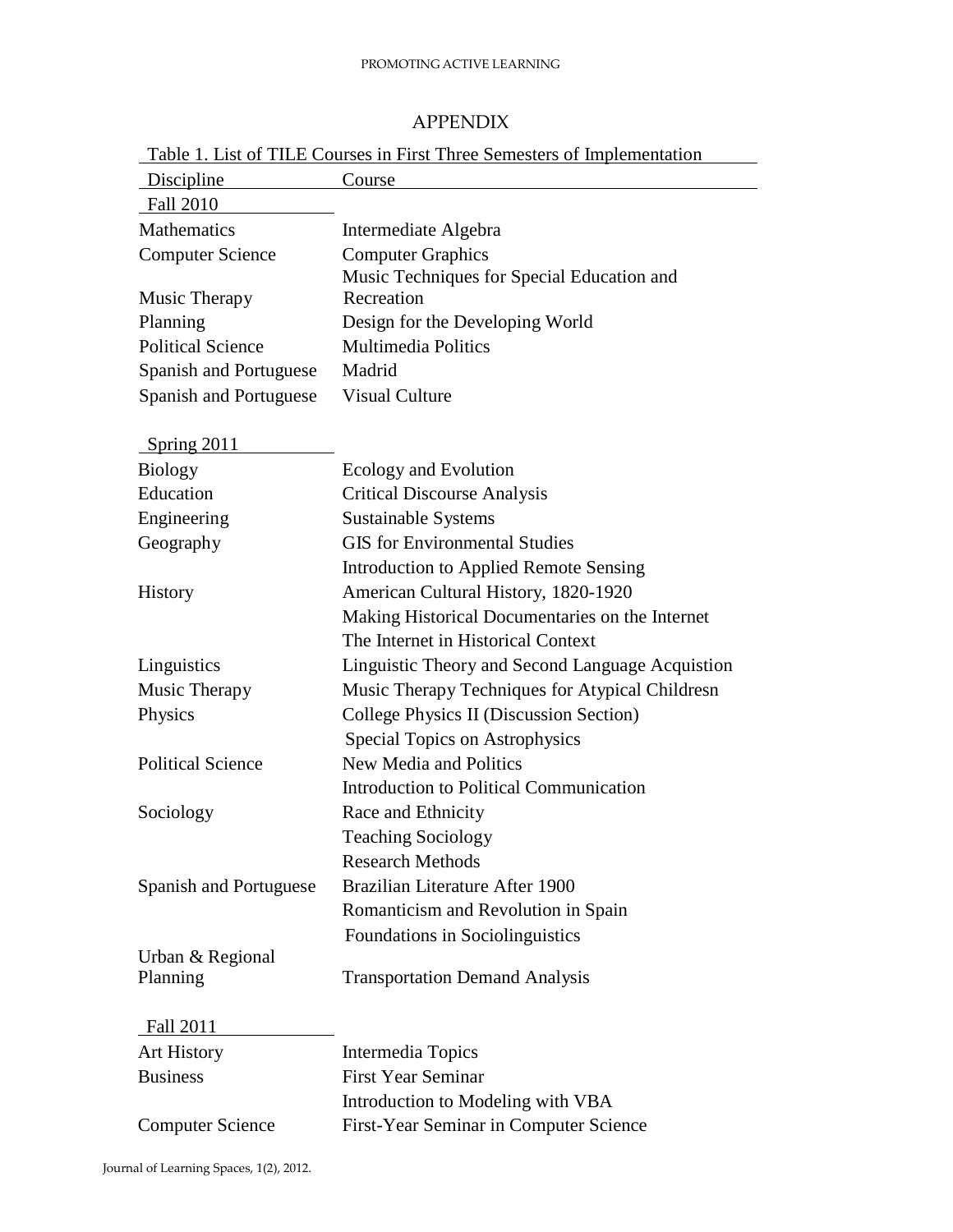# APPENDIX

<span id="page-7-0"></span>

| Table 1. List of TILE Courses in First Three Semesters of Implementation |                                                  |  |
|--------------------------------------------------------------------------|--------------------------------------------------|--|
| Discipline                                                               | Course                                           |  |
| <b>Fall 2010</b>                                                         |                                                  |  |
| <b>Mathematics</b>                                                       | Intermediate Algebra                             |  |
| <b>Computer Science</b>                                                  | <b>Computer Graphics</b>                         |  |
|                                                                          | Music Techniques for Special Education and       |  |
| Music Therapy                                                            | Recreation                                       |  |
| Planning                                                                 | Design for the Developing World                  |  |
| <b>Political Science</b>                                                 | <b>Multimedia Politics</b>                       |  |
| Spanish and Portuguese                                                   | Madrid                                           |  |
| Spanish and Portuguese                                                   | <b>Visual Culture</b>                            |  |
|                                                                          |                                                  |  |
| Spring 2011                                                              |                                                  |  |
| <b>Biology</b>                                                           | Ecology and Evolution                            |  |
| Education                                                                | <b>Critical Discourse Analysis</b>               |  |
| Engineering                                                              | Sustainable Systems                              |  |
| Geography                                                                | <b>GIS</b> for Environmental Studies             |  |
|                                                                          | <b>Introduction to Applied Remote Sensing</b>    |  |
| <b>History</b>                                                           | American Cultural History, 1820-1920             |  |
|                                                                          | Making Historical Documentaries on the Internet  |  |
|                                                                          | The Internet in Historical Context               |  |
| Linguistics                                                              | Linguistic Theory and Second Language Acquistion |  |
| Music Therapy                                                            | Music Therapy Techniques for Atypical Childresn  |  |
| Physics                                                                  | College Physics II (Discussion Section)          |  |
|                                                                          | <b>Special Topics on Astrophysics</b>            |  |
| <b>Political Science</b>                                                 | New Media and Politics                           |  |
|                                                                          | <b>Introduction to Political Communication</b>   |  |
| Sociology                                                                | Race and Ethnicity                               |  |
|                                                                          | <b>Teaching Sociology</b>                        |  |
|                                                                          | <b>Research Methods</b>                          |  |
| Spanish and Portuguese                                                   | Brazilian Literature After 1900                  |  |
|                                                                          | Romanticism and Revolution in Spain              |  |
|                                                                          | Foundations in Sociolinguistics                  |  |
| Urban & Regional                                                         |                                                  |  |
| Planning                                                                 | <b>Transportation Demand Analysis</b>            |  |
|                                                                          |                                                  |  |
| Fall 2011                                                                |                                                  |  |
| <b>Art History</b>                                                       | Intermedia Topics                                |  |
| <b>Business</b>                                                          | <b>First Year Seminar</b>                        |  |
|                                                                          | Introduction to Modeling with VBA                |  |
| <b>Computer Science</b>                                                  | First-Year Seminar in Computer Science           |  |
|                                                                          |                                                  |  |